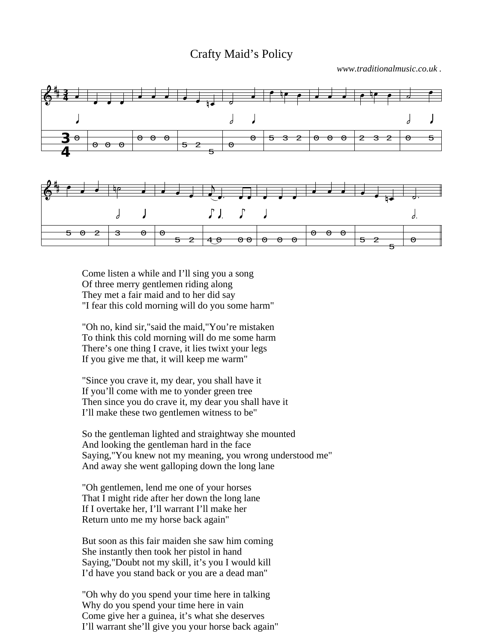## Crafty Maid's Policy

*www.traditionalmusic.co.uk .*



Come listen a while and I'll sing you a song Of three merry gentlemen riding along They met a fair maid and to her did say "I fear this cold morning will do you some harm"

"Oh no, kind sir,"said the maid,"You're mistaken To think this cold morning will do me some harm There's one thing I crave, it lies twixt your legs If you give me that, it will keep me warm"

"Since you crave it, my dear, you shall have it If you'll come with me to yonder green tree Then since you do crave it, my dear you shall have it I'll make these two gentlemen witness to be"

So the gentleman lighted and straightway she mounted And looking the gentleman hard in the face Saying,"You knew not my meaning, you wrong understood me" And away she went galloping down the long lane

"Oh gentlemen, lend me one of your horses That I might ride after her down the long lane If I overtake her, I'll warrant I'll make her Return unto me my horse back again"

But soon as this fair maiden she saw him coming She instantly then took her pistol in hand Saying,"Doubt not my skill, it's you I would kill I'd have you stand back or you are a dead man"

"Oh why do you spend your time here in talking Why do you spend your time here in vain Come give her a guinea, it's what she deserves I'll warrant she'll give you your horse back again"